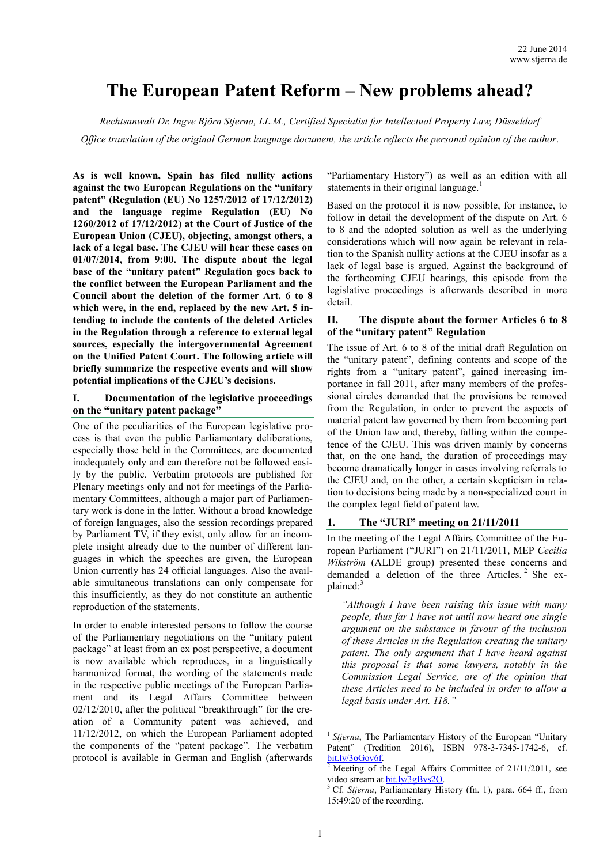# **The European Patent Reform – New problems ahead?**

*Rechtsanwalt Dr. Ingve Björn Stjerna, LL.M., Certified Specialist for Intellectual Property Law, Düsseldorf*

*Office translation of the original German language document, the article reflects the personal opinion of the author.*

**As is well known, Spain has filed nullity actions against the two European Regulations on the "unitary patent" (Regulation (EU) No 1257/2012 of 17/12/2012) and the language regime Regulation (EU) No 1260/2012 of 17/12/2012) at the Court of Justice of the European Union (CJEU), objecting, amongst others, a lack of a legal base. The CJEU will hear these cases on 01/07/2014, from 9:00. The dispute about the legal base of the "unitary patent" Regulation goes back to the conflict between the European Parliament and the Council about the deletion of the former Art. 6 to 8 which were, in the end, replaced by the new Art. 5 intending to include the contents of the deleted Articles in the Regulation through a reference to external legal sources, especially the intergovernmental Agreement on the Unified Patent Court. The following article will briefly summarize the respective events and will show potential implications of the CJEU's decisions.**

## **I. Documentation of the legislative proceedings on the "unitary patent package"**

One of the peculiarities of the European legislative process is that even the public Parliamentary deliberations, especially those held in the Committees, are documented inadequately only and can therefore not be followed easily by the public. Verbatim protocols are published for Plenary meetings only and not for meetings of the Parliamentary Committees, although a major part of Parliamentary work is done in the latter. Without a broad knowledge of foreign languages, also the session recordings prepared by Parliament TV, if they exist, only allow for an incomplete insight already due to the number of different languages in which the speeches are given, the European Union currently has 24 official languages. Also the available simultaneous translations can only compensate for this insufficiently, as they do not constitute an authentic reproduction of the statements.

In order to enable interested persons to follow the course of the Parliamentary negotiations on the "unitary patent package" at least from an ex post perspective, a document is now available which reproduces, in a linguistically harmonized format, the wording of the statements made in the respective public meetings of the European Parliament and its Legal Affairs Committee between 02/12/2010, after the political "breakthrough" for the creation of a Community patent was achieved, and 11/12/2012, on which the European Parliament adopted the components of the "patent package". The verbatim protocol is available in German and English (afterwards "Parliamentary History") as well as an edition with all statements in their original language.<sup>1</sup>

Based on the protocol it is now possible, for instance, to follow in detail the development of the dispute on Art. 6 to 8 and the adopted solution as well as the underlying considerations which will now again be relevant in relation to the Spanish nullity actions at the CJEU insofar as a lack of legal base is argued. Against the background of the forthcoming CJEU hearings, this episode from the legislative proceedings is afterwards described in more detail.

## **II. The dispute about the former Articles 6 to 8 of the "unitary patent" Regulation**

The issue of Art. 6 to 8 of the initial draft Regulation on the "unitary patent", defining contents and scope of the rights from a "unitary patent", gained increasing importance in fall 2011, after many members of the professional circles demanded that the provisions be removed from the Regulation, in order to prevent the aspects of material patent law governed by them from becoming part of the Union law and, thereby, falling within the competence of the CJEU. This was driven mainly by concerns that, on the one hand, the duration of proceedings may become dramatically longer in cases involving referrals to the CJEU and, on the other, a certain skepticism in relation to decisions being made by a non-specialized court in the complex legal field of patent law.

## **1. The "JURI" meeting on 21/11/2011**

In the meeting of the Legal Affairs Committee of the European Parliament ("JURI") on 21/11/2011, MEP *Cecilia Wikström* (ALDE group) presented these concerns and demanded a deletion of the three Articles. 2 She explained:<sup>3</sup>

*"Although I have been raising this issue with many people, thus far I have not until now heard one single argument on the substance in favour of the inclusion of these Articles in the Regulation creating the unitary patent. The only argument that I have heard against this proposal is that some lawyers, notably in the Commission Legal Service, are of the opinion that these Articles need to be included in order to allow a legal basis under Art. 118."*

<sup>&</sup>lt;sup>1</sup> Stjerna, The Parliamentary History of the European "Unitary Patent" (Tredition 2016), ISBN 978-3-7345-1742-6, cf. [bit.ly/3oGov6f.](https://bit.ly/3oGov6f)

 $2$  Meeting of the Legal Affairs Committee of 21/11/2011, see video stream at **bit.ly/3gBvs2O**.

<sup>3</sup> Cf. *Stjerna*, Parliamentary History (fn. 1), para. 664 ff., from 15:49:20 of the recording.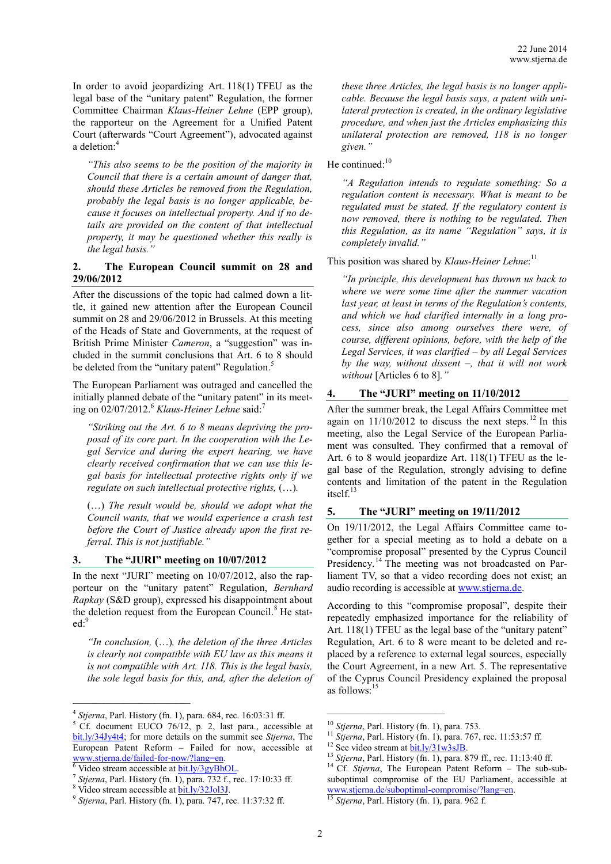In order to avoid jeopardizing Art. 118(1) TFEU as the legal base of the "unitary patent" Regulation, the former Committee Chairman *Klaus-Heiner Lehne* (EPP group), the rapporteur on the Agreement for a Unified Patent Court (afterwards "Court Agreement"), advocated against a deletion: 4

*"This also seems to be the position of the majority in Council that there is a certain amount of danger that, should these Articles be removed from the Regulation, probably the legal basis is no longer applicable, because it focuses on intellectual property. And if no details are provided on the content of that intellectual property, it may be questioned whether this really is the legal basis."*

## **2. The European Council summit on 28 and 29/06/2012**

After the discussions of the topic had calmed down a little, it gained new attention after the European Council summit on 28 and 29/06/2012 in Brussels. At this meeting of the Heads of State and Governments, at the request of British Prime Minister *Cameron*, a "suggestion" was included in the summit conclusions that Art. 6 to 8 should be deleted from the "unitary patent" Regulation.<sup>5</sup>

The European Parliament was outraged and cancelled the initially planned debate of the "unitary patent" in its meeting on 02/07/2012. <sup>6</sup> *Klaus-Heiner Lehne* said: 7

*"Striking out the Art. 6 to 8 means depriving the proposal of its core part. In the cooperation with the Legal Service and during the expert hearing, we have clearly received confirmation that we can use this legal basis for intellectual protective rights only if we regulate on such intellectual protective rights,* (…)*.*

(…) *The result would be, should we adopt what the Council wants, that we would experience a crash test before the Court of Justice already upon the first referral. This is not justifiable."*

## **3. The "JURI" meeting on 10/07/2012**

In the next "JURI" meeting on 10/07/2012, also the rapporteur on the "unitary patent" Regulation, *Bernhard Rapkay* (S&D group), expressed his disappointment about the deletion request from the European Council. <sup>8</sup> He stated: 9

*"In conclusion,* (…)*, the deletion of the three Articles is clearly not compatible with EU law as this means it is not compatible with Art. 118. This is the legal basis, the sole legal basis for this, and, after the deletion of* 

 $\frac{6}{6}$  Video stream accessible at  $bit.ly/3gyBhOL$ .

 $\mathcal{L}_\text{max}$  , where  $\mathcal{L}_\text{max}$  and  $\mathcal{L}_\text{max}$ 

*these three Articles, the legal basis is no longer applicable. Because the legal basis says, a patent with unilateral protection is created, in the ordinary legislative procedure, and when just the Articles emphasizing this unilateral protection are removed, 118 is no longer given."*

He continued:<sup>10</sup>

*"A Regulation intends to regulate something: So a regulation content is necessary. What is meant to be regulated must be stated. If the regulatory content is now removed, there is nothing to be regulated. Then this Regulation, as its name "Regulation" says, it is completely invalid."*

This position was shared by *Klaus-Heiner Lehne*: 11

*"In principle, this development has thrown us back to where we were some time after the summer vacation last year, at least in terms of the Regulation's contents, and which we had clarified internally in a long process, since also among ourselves there were, of course, different opinions, before, with the help of the Legal Services, it was clarified – by all Legal Services by the way, without dissent –, that it will not work without* [Articles 6 to 8]*."*

#### **4. The "JURI" meeting on 11/10/2012**

After the summer break, the Legal Affairs Committee met again on  $11/10/2012$  to discuss the next steps.<sup>12</sup> In this meeting, also the Legal Service of the European Parliament was consulted. They confirmed that a removal of Art. 6 to 8 would jeopardize Art. 118(1) TFEU as the legal base of the Regulation, strongly advising to define contents and limitation of the patent in the Regulation itself. 13

#### **5. The "JURI" meeting on 19/11/2012**

On 19/11/2012, the Legal Affairs Committee came together for a special meeting as to hold a debate on a "compromise proposal" presented by the Cyprus Council Presidency.<sup>14</sup> The meeting was not broadcasted on Parliament TV, so that a video recording does not exist; an audio recording is accessible at [www.stjerna.de.](http://www.stjerna.de/new-problems/?lang=en)

According to this "compromise proposal", despite their repeatedly emphasized importance for the reliability of Art. 118(1) TFEU as the legal base of the "unitary patent" Regulation, Art. 6 to 8 were meant to be deleted and replaced by a reference to external legal sources, especially the Court Agreement, in a new Art. 5. The representative of the Cyprus Council Presidency explained the proposal as follows: 15

\_\_\_\_\_\_\_\_\_\_\_\_\_\_\_\_\_\_\_\_\_\_\_

<sup>4</sup> *Stjerna*, Parl. History (fn. 1), para. 684, rec. 16:03:31 ff.

 $5$  Cf. document EUCO 76/12, p. 2, last para., accessible at [bit.ly/34Jy4t4;](https://bit.ly/34Jy4t4) for more details on the summit see *Stjerna*, The European Patent Reform – Failed for now, accessible at [www.stjerna.de/failed-for-now/?lang=en.](http://www.stjerna.de/failed-for-now/?lang=en)

<sup>7</sup> *Stjerna*, Parl. History (fn. 1), para. 732 f., rec. 17:10:33 ff.

<sup>&</sup>lt;sup>8</sup> Video stream accessible at **bit.ly/32Jol3J**.

<sup>9</sup> *Stjerna*, Parl. History (fn. 1), para. 747, rec. 11:37:32 ff.

<sup>10</sup> *Stjerna*, Parl. History (fn. 1), para. 753.

<sup>11</sup> *Stjerna*, Parl. History (fn. 1), para. 767, rec. 11:53:57 ff.

<sup>&</sup>lt;sup>12</sup> See video stream at **bit.ly/31w3sJB**.

<sup>13</sup> *Stjerna*, Parl. History (fn. 1), para. 879 ff., rec. 11:13:40 ff.

<sup>14</sup> Cf. *Stjerna*, The European Patent Reform – The sub-subsuboptimal compromise of the EU Parliament, accessible at [www.stjerna.de/suboptimal](http://www.stjerna.de/suboptimal-compromise/?lang=en)-compromise/?lang=en.

Stjerna, Parl. History (fn. 1), para. 962 f.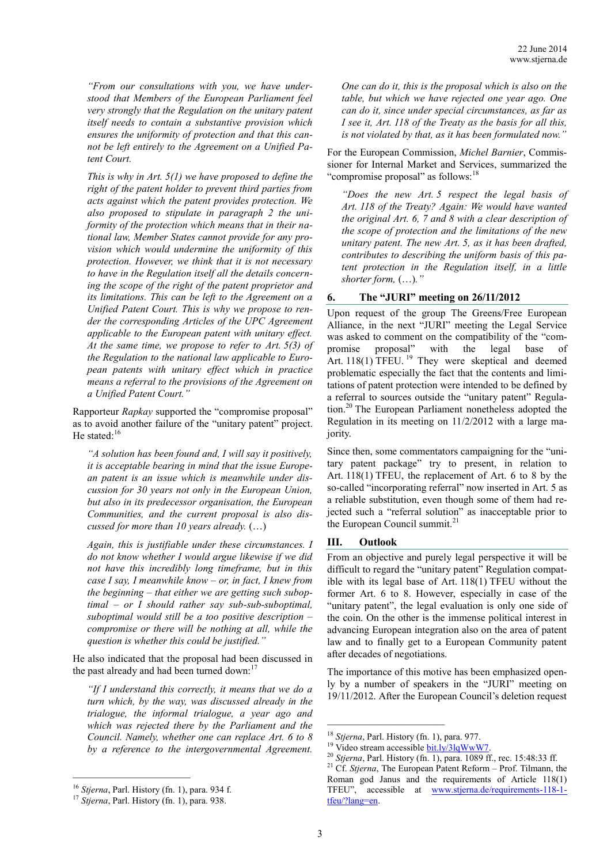*"From our consultations with you, we have understood that Members of the European Parliament feel very strongly that the Regulation on the unitary patent itself needs to contain a substantive provision which ensures the uniformity of protection and that this cannot be left entirely to the Agreement on a Unified Patent Court.*

*This is why in Art. 5(1) we have proposed to define the right of the patent holder to prevent third parties from acts against which the patent provides protection. We also proposed to stipulate in paragraph 2 the uniformity of the protection which means that in their national law, Member States cannot provide for any provision which would undermine the uniformity of this protection. However, we think that it is not necessary to have in the Regulation itself all the details concerning the scope of the right of the patent proprietor and its limitations. This can be left to the Agreement on a Unified Patent Court. This is why we propose to render the corresponding Articles of the UPC Agreement applicable to the European patent with unitary effect. At the same time, we propose to refer to Art. 5(3) of the Regulation to the national law applicable to European patents with unitary effect which in practice means a referral to the provisions of the Agreement on a Unified Patent Court."*

Rapporteur *Rapkay* supported the "compromise proposal" as to avoid another failure of the "unitary patent" project. He stated: $16$ 

*"A solution has been found and, I will say it positively, it is acceptable bearing in mind that the issue European patent is an issue which is meanwhile under discussion for 30 years not only in the European Union, but also in its predecessor organisation, the European Communities, and the current proposal is also discussed for more than 10 years already.* (…)

*Again, this is justifiable under these circumstances. I do not know whether I would argue likewise if we did not have this incredibly long timeframe, but in this case I say, I meanwhile know – or, in fact, I knew from the beginning – that either we are getting such suboptimal – or I should rather say sub-sub-suboptimal, suboptimal would still be a too positive description – compromise or there will be nothing at all, while the question is whether this could be justified."*

He also indicated that the proposal had been discussed in the past already and had been turned down:<sup>17</sup>

*"If I understand this correctly, it means that we do a turn which, by the way, was discussed already in the trialogue, the informal trialogue, a year ago and which was rejected there by the Parliament and the Council. Namely, whether one can replace Art. 6 to 8 by a reference to the intergovernmental Agreement.* 

*One can do it, this is the proposal which is also on the table, but which we have rejected one year ago. One can do it, since under special circumstances, as far as I see it, Art. 118 of the Treaty as the basis for all this, is not violated by that, as it has been formulated now."*

For the European Commission, *Michel Barnier*, Commissioner for Internal Market and Services, summarized the "compromise proposal" as follows:<sup>18</sup>

*"Does the new Art. 5 respect the legal basis of Art. 118 of the Treaty? Again: We would have wanted the original Art. 6, 7 and 8 with a clear description of the scope of protection and the limitations of the new unitary patent. The new Art. 5, as it has been drafted, contributes to describing the uniform basis of this patent protection in the Regulation itself, in a little shorter form,* (…)*."*

#### **6. The "JURI" meeting on 26/11/2012**

Upon request of the group The Greens/Free European Alliance, in the next "JURI" meeting the Legal Service was asked to comment on the compatibility of the "compromise proposal" with the legal base of Art. 118(1) TFEU.<sup>19</sup> They were skeptical and deemed problematic especially the fact that the contents and limitations of patent protection were intended to be defined by a referral to sources outside the "unitary patent" Regulation. <sup>20</sup> The European Parliament nonetheless adopted the Regulation in its meeting on 11/2/2012 with a large majority.

Since then, some commentators campaigning for the "unitary patent package" try to present, in relation to Art. 118(1) TFEU, the replacement of Art. 6 to 8 by the so-called "incorporating referral" now inserted in Art. 5 as a reliable substitution, even though some of them had rejected such a "referral solution" as inacceptable prior to the European Council summit.<sup>21</sup>

#### **III. Outlook**

From an objective and purely legal perspective it will be difficult to regard the "unitary patent" Regulation compatible with its legal base of Art. 118(1) TFEU without the former Art. 6 to 8. However, especially in case of the "unitary patent", the legal evaluation is only one side of the coin. On the other is the immense political interest in advancing European integration also on the area of patent law and to finally get to a European Community patent after decades of negotiations.

The importance of this motive has been emphasized openly by a number of speakers in the "JURI" meeting on 19/11/2012. After the European Council's deletion request

<sup>16</sup> *Stjerna*, Parl. History (fn. 1), para. 934 f.

<sup>17</sup> *Stjerna*, Parl. History (fn. 1), para. 938.

<sup>18</sup> *Stjerna*, Parl. History (fn. 1), para. 977.

<sup>&</sup>lt;sup>19</sup> Video stream accessible bit.ly/3lqWwW7

<sup>20</sup> *Stjerna*, Parl. History (fn. 1), para. 1089 ff., rec. 15:48:33 ff.

<sup>21</sup> Cf. *Stjerna*, The European Patent Reform – Prof. Tilmann, the Roman god Janus and the requirements of Article 118(1) TFEU", accessible at [www.stjerna.de/requirements](http://www.stjerna.de/requirements-118-1-tfeu/?lang=en)-118-1 [tfeu/?lang=en.](http://www.stjerna.de/requirements-118-1-tfeu/?lang=en)